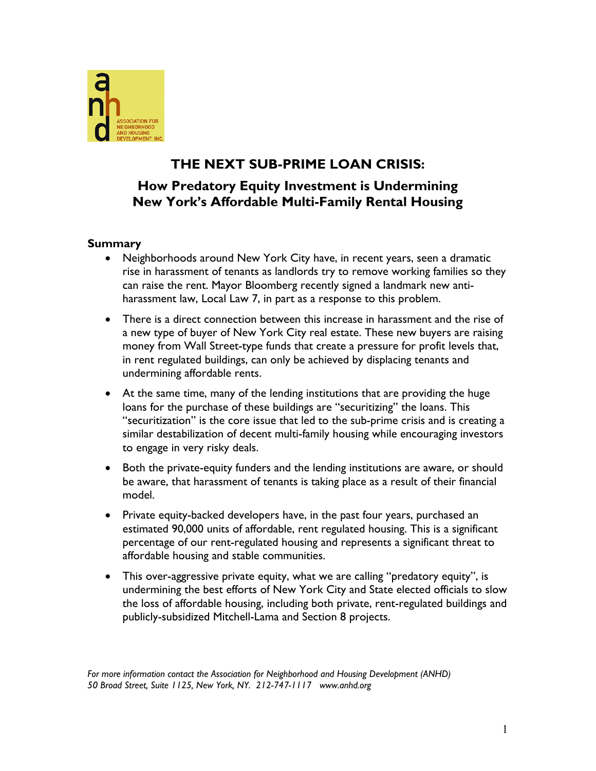

# **THE NEXT SUB-PRIME LOAN CRISIS:**

# **How Predatory Equity Investment is Undermining New York's Affordable Multi-Family Rental Housing**

# **Summary**

- Neighborhoods around New York City have, in recent years, seen a dramatic rise in harassment of tenants as landlords try to remove working families so they can raise the rent. Mayor Bloomberg recently signed a landmark new antiharassment law, Local Law 7, in part as a response to this problem.
- There is a direct connection between this increase in harassment and the rise of a new type of buyer of New York City real estate. These new buyers are raising money from Wall Street-type funds that create a pressure for profit levels that, in rent regulated buildings, can only be achieved by displacing tenants and undermining affordable rents.
- At the same time, many of the lending institutions that are providing the huge loans for the purchase of these buildings are "securitizing" the loans. This "securitization" is the core issue that led to the sub-prime crisis and is creating a similar destabilization of decent multi-family housing while encouraging investors to engage in very risky deals.
- Both the private-equity funders and the lending institutions are aware, or should be aware, that harassment of tenants is taking place as a result of their financial model.
- Private equity-backed developers have, in the past four years, purchased an estimated 90,000 units of affordable, rent regulated housing. This is a significant percentage of our rent-regulated housing and represents a significant threat to affordable housing and stable communities.
- This over-aggressive private equity, what we are calling "predatory equity", is undermining the best efforts of New York City and State elected officials to slow the loss of affordable housing, including both private, rent-regulated buildings and publicly-subsidized Mitchell-Lama and Section 8 projects.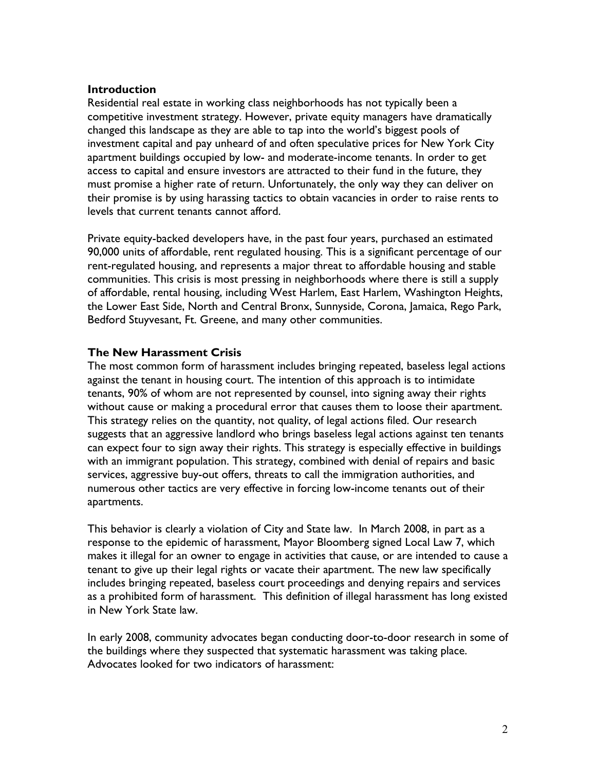#### **Introduction**

Residential real estate in working class neighborhoods has not typically been a competitive investment strategy. However, private equity managers have dramatically changed this landscape as they are able to tap into the world's biggest pools of investment capital and pay unheard of and often speculative prices for New York City apartment buildings occupied by low- and moderate-income tenants. In order to get access to capital and ensure investors are attracted to their fund in the future, they must promise a higher rate of return. Unfortunately, the only way they can deliver on their promise is by using harassing tactics to obtain vacancies in order to raise rents to levels that current tenants cannot afford.

Private equity-backed developers have, in the past four years, purchased an estimated 90,000 units of affordable, rent regulated housing. This is a significant percentage of our rent-regulated housing, and represents a major threat to affordable housing and stable communities. This crisis is most pressing in neighborhoods where there is still a supply of affordable, rental housing, including West Harlem, East Harlem, Washington Heights, the Lower East Side, North and Central Bronx, Sunnyside, Corona, Jamaica, Rego Park, Bedford Stuyvesant, Ft. Greene, and many other communities.

# **The New Harassment Crisis**

The most common form of harassment includes bringing repeated, baseless legal actions against the tenant in housing court. The intention of this approach is to intimidate tenants, 90% of whom are not represented by counsel, into signing away their rights without cause or making a procedural error that causes them to loose their apartment. This strategy relies on the quantity, not quality, of legal actions filed. Our research suggests that an aggressive landlord who brings baseless legal actions against ten tenants can expect four to sign away their rights. This strategy is especially effective in buildings with an immigrant population. This strategy, combined with denial of repairs and basic services, aggressive buy-out offers, threats to call the immigration authorities, and numerous other tactics are very effective in forcing low-income tenants out of their apartments.

This behavior is clearly a violation of City and State law. In March 2008, in part as a response to the epidemic of harassment, Mayor Bloomberg signed Local Law 7, which makes it illegal for an owner to engage in activities that cause, or are intended to cause a tenant to give up their legal rights or vacate their apartment. The new law specifically includes bringing repeated, baseless court proceedings and denying repairs and services as a prohibited form of harassment. This definition of illegal harassment has long existed in New York State law.

In early 2008, community advocates began conducting door-to-door research in some of the buildings where they suspected that systematic harassment was taking place. Advocates looked for two indicators of harassment: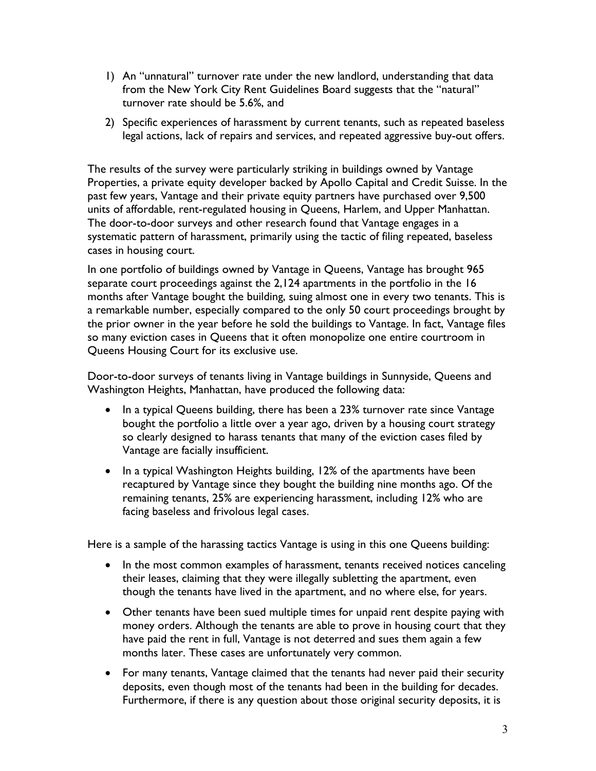- 1) An "unnatural" turnover rate under the new landlord, understanding that data from the New York City Rent Guidelines Board suggests that the "natural" turnover rate should be 5.6%, and
- 2) Specific experiences of harassment by current tenants, such as repeated baseless legal actions, lack of repairs and services, and repeated aggressive buy-out offers.

The results of the survey were particularly striking in buildings owned by Vantage Properties, a private equity developer backed by Apollo Capital and Credit Suisse. In the past few years, Vantage and their private equity partners have purchased over 9,500 units of affordable, rent-regulated housing in Queens, Harlem, and Upper Manhattan. The door-to-door surveys and other research found that Vantage engages in a systematic pattern of harassment, primarily using the tactic of filing repeated, baseless cases in housing court.

In one portfolio of buildings owned by Vantage in Queens, Vantage has brought 965 separate court proceedings against the 2,124 apartments in the portfolio in the 16 months after Vantage bought the building, suing almost one in every two tenants. This is a remarkable number, especially compared to the only 50 court proceedings brought by the prior owner in the year before he sold the buildings to Vantage. In fact, Vantage files so many eviction cases in Queens that it often monopolize one entire courtroom in Queens Housing Court for its exclusive use.

Door-to-door surveys of tenants living in Vantage buildings in Sunnyside, Queens and Washington Heights, Manhattan, have produced the following data:

- In a typical Queens building, there has been a 23% turnover rate since Vantage bought the portfolio a little over a year ago, driven by a housing court strategy so clearly designed to harass tenants that many of the eviction cases filed by Vantage are facially insufficient.
- In a typical Washington Heights building, 12% of the apartments have been recaptured by Vantage since they bought the building nine months ago. Of the remaining tenants, 25% are experiencing harassment, including 12% who are facing baseless and frivolous legal cases.

Here is a sample of the harassing tactics Vantage is using in this one Queens building:

- In the most common examples of harassment, tenants received notices canceling their leases, claiming that they were illegally subletting the apartment, even though the tenants have lived in the apartment, and no where else, for years.
- Other tenants have been sued multiple times for unpaid rent despite paying with money orders. Although the tenants are able to prove in housing court that they have paid the rent in full, Vantage is not deterred and sues them again a few months later. These cases are unfortunately very common.
- For many tenants, Vantage claimed that the tenants had never paid their security deposits, even though most of the tenants had been in the building for decades. Furthermore, if there is any question about those original security deposits, it is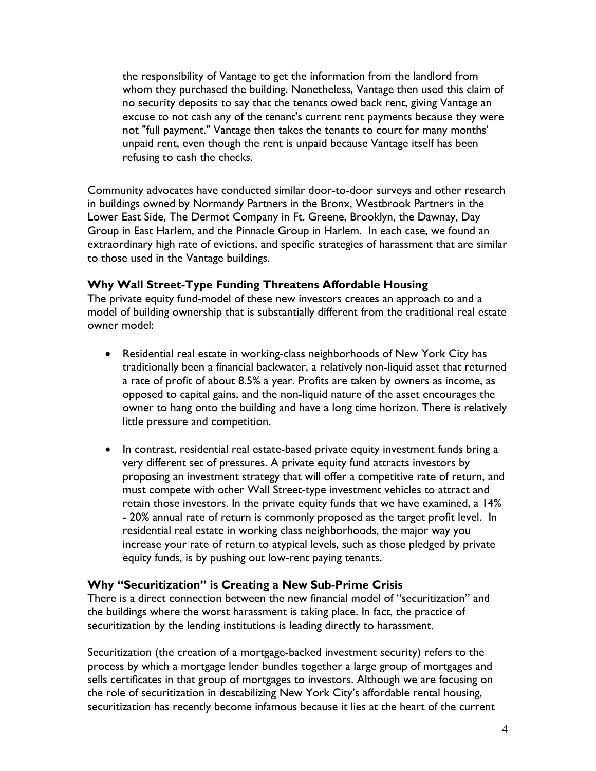the responsibility of Vantage to get the information from the landlord from whom they purchased the building. Nonetheless, Vantage then used this claim of no security deposits to say that the tenants owed back rent, giving Vantage an excuse to not cash any of the tenant's current rent payments because they were not "full payment." Vantage then takes the tenants to court for many months' unpaid rent, even though the rent is unpaid because Vantage itself has been refusing to cash the checks.

Community advocates have conducted similar door-to-door surveys and other research in buildings owned by Normandy Partners in the Bronx, Westbrook Partners in the Lower East Side, The Dermot Company in Ft. Greene, Brooklyn, the Dawnay, Day Group in East Harlem, and the Pinnacle Group in Harlem. In each case, we found an extraordinary high rate of evictions, and specific strategies of harassment that are similar to those used in the Vantage buildings.

# **Why Wall Street-Type Funding Threatens Affordable Housing**

The private equity fund-model of these new investors creates an approach to and a model of building ownership that is substantially different from the traditional real estate owner model:

- Residential real estate in working-class neighborhoods of New York City has traditionally been a financial backwater, a relatively non-liquid asset that returned a rate of profit of about 8.5% a year. Profits are taken by owners as income, as opposed to capital gains, and the non-liquid nature of the asset encourages the owner to hang onto the building and have a long time horizon. There is relatively little pressure and competition.
- In contrast, residential real estate-based private equity investment funds bring a very different set of pressures. A private equity fund attracts investors by proposing an investment strategy that will offer a competitive rate of return, and must compete with other Wall Street-type investment vehicles to attract and retain those investors. In the private equity funds that we have examined, a 14% - 20% annual rate of return is commonly proposed as the target profit level. In residential real estate in working class neighborhoods, the major way you increase your rate of return to atypical levels, such as those pledged by private equity funds, is by pushing out low-rent paying tenants.

# **Why "Securitization" is Creating a New Sub-Prime Crisis**

There is a direct connection between the new financial model of "securitization" and the buildings where the worst harassment is taking place. In fact, the practice of securitization by the lending institutions is leading directly to harassment.

Securitization (the creation of a mortgage-backed investment security) refers to the process by which a mortgage lender bundles together a large group of mortgages and sells certificates in that group of mortgages to investors. Although we are focusing on the role of securitization in destabilizing New York City's affordable rental housing, securitization has recently become infamous because it lies at the heart of the current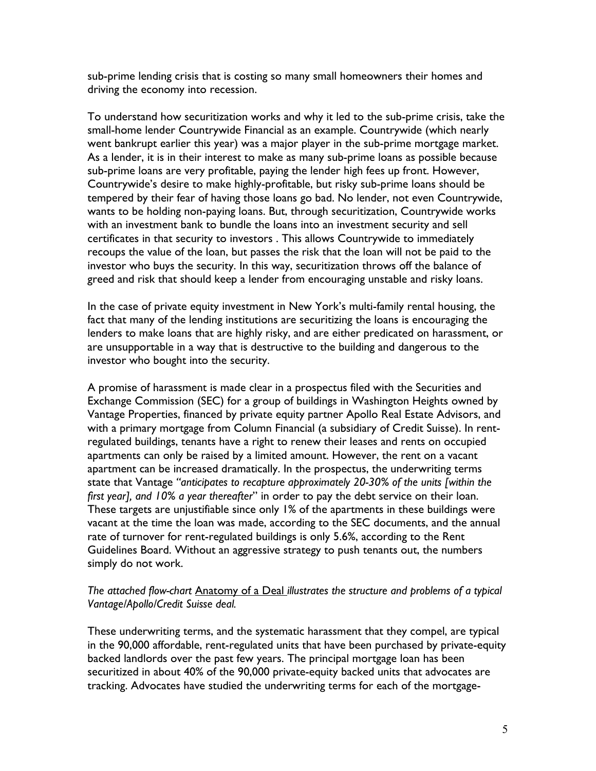sub-prime lending crisis that is costing so many small homeowners their homes and driving the economy into recession.

To understand how securitization works and why it led to the sub-prime crisis, take the small-home lender Countrywide Financial as an example. Countrywide (which nearly went bankrupt earlier this year) was a major player in the sub-prime mortgage market. As a lender, it is in their interest to make as many sub-prime loans as possible because sub-prime loans are very profitable, paying the lender high fees up front. However, Countrywide's desire to make highly-profitable, but risky sub-prime loans should be tempered by their fear of having those loans go bad. No lender, not even Countrywide, wants to be holding non-paying loans. But, through securitization, Countrywide works with an investment bank to bundle the loans into an investment security and sell certificates in that security to investors . This allows Countrywide to immediately recoups the value of the loan, but passes the risk that the loan will not be paid to the investor who buys the security. In this way, securitization throws off the balance of greed and risk that should keep a lender from encouraging unstable and risky loans.

In the case of private equity investment in New York's multi-family rental housing, the fact that many of the lending institutions are securitizing the loans is encouraging the lenders to make loans that are highly risky, and are either predicated on harassment, or are unsupportable in a way that is destructive to the building and dangerous to the investor who bought into the security.

A promise of harassment is made clear in a prospectus filed with the Securities and Exchange Commission (SEC) for a group of buildings in Washington Heights owned by Vantage Properties, financed by private equity partner Apollo Real Estate Advisors, and with a primary mortgage from Column Financial (a subsidiary of Credit Suisse). In rentregulated buildings, tenants have a right to renew their leases and rents on occupied apartments can only be raised by a limited amount. However, the rent on a vacant apartment can be increased dramatically. In the prospectus, the underwriting terms state that Vantage *"anticipates to recapture approximately 20-30% of the units [within the first year], and 10% a year thereafter*" in order to pay the debt service on their loan. These targets are unjustifiable since only 1% of the apartments in these buildings were vacant at the time the loan was made, according to the SEC documents, and the annual rate of turnover for rent-regulated buildings is only 5.6%, according to the Rent Guidelines Board. Without an aggressive strategy to push tenants out, the numbers simply do not work.

### *The attached flow-chart* Anatomy of a Deal *illustrates the structure and problems of a typical Vantage/Apollo/Credit Suisse deal.*

These underwriting terms, and the systematic harassment that they compel, are typical in the 90,000 affordable, rent-regulated units that have been purchased by private-equity backed landlords over the past few years. The principal mortgage loan has been securitized in about 40% of the 90,000 private-equity backed units that advocates are tracking. Advocates have studied the underwriting terms for each of the mortgage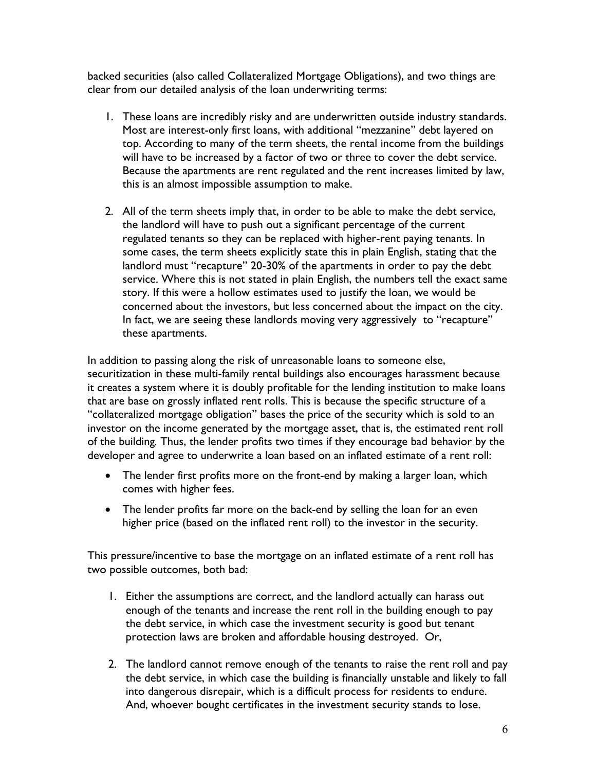backed securities (also called Collateralized Mortgage Obligations), and two things are clear from our detailed analysis of the loan underwriting terms:

- 1. These loans are incredibly risky and are underwritten outside industry standards. Most are interest-only first loans, with additional "mezzanine" debt layered on top. According to many of the term sheets, the rental income from the buildings will have to be increased by a factor of two or three to cover the debt service. Because the apartments are rent regulated and the rent increases limited by law, this is an almost impossible assumption to make.
- 2. All of the term sheets imply that, in order to be able to make the debt service, the landlord will have to push out a significant percentage of the current regulated tenants so they can be replaced with higher-rent paying tenants. In some cases, the term sheets explicitly state this in plain English, stating that the landlord must "recapture" 20-30% of the apartments in order to pay the debt service. Where this is not stated in plain English, the numbers tell the exact same story. If this were a hollow estimates used to justify the loan, we would be concerned about the investors, but less concerned about the impact on the city. In fact, we are seeing these landlords moving very aggressively to "recapture" these apartments.

In addition to passing along the risk of unreasonable loans to someone else, securitization in these multi-family rental buildings also encourages harassment because it creates a system where it is doubly profitable for the lending institution to make loans that are base on grossly inflated rent rolls. This is because the specific structure of a "collateralized mortgage obligation" bases the price of the security which is sold to an investor on the income generated by the mortgage asset, that is, the estimated rent roll of the building*.* Thus, the lender profits two times if they encourage bad behavior by the developer and agree to underwrite a loan based on an inflated estimate of a rent roll:

- The lender first profits more on the front-end by making a larger loan, which comes with higher fees.
- The lender profits far more on the back-end by selling the loan for an even higher price (based on the inflated rent roll) to the investor in the security.

This pressure/incentive to base the mortgage on an inflated estimate of a rent roll has two possible outcomes, both bad:

- 1. Either the assumptions are correct, and the landlord actually can harass out enough of the tenants and increase the rent roll in the building enough to pay the debt service, in which case the investment security is good but tenant protection laws are broken and affordable housing destroyed. Or,
- 2. The landlord cannot remove enough of the tenants to raise the rent roll and pay the debt service, in which case the building is financially unstable and likely to fall into dangerous disrepair, which is a difficult process for residents to endure. And, whoever bought certificates in the investment security stands to lose.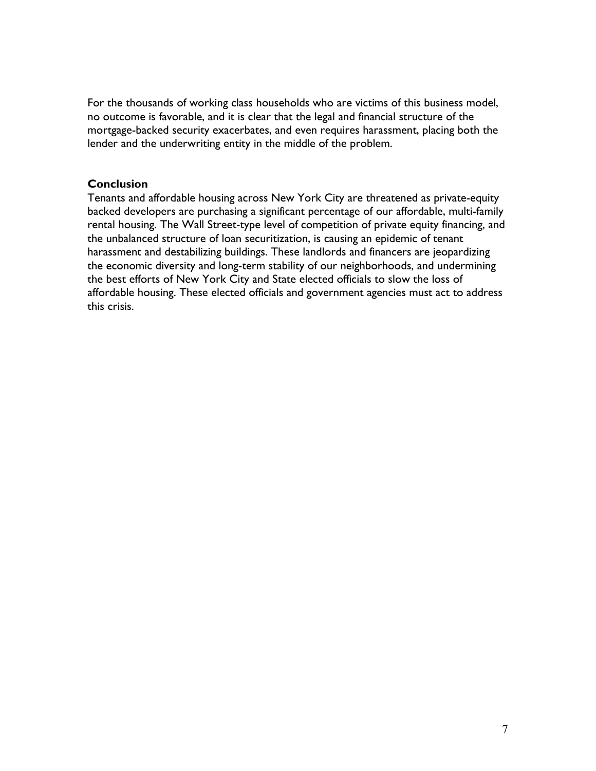For the thousands of working class households who are victims of this business model, no outcome is favorable, and it is clear that the legal and financial structure of the mortgage-backed security exacerbates, and even requires harassment, placing both the lender and the underwriting entity in the middle of the problem.

### **Conclusion**

Tenants and affordable housing across New York City are threatened as private-equity backed developers are purchasing a significant percentage of our affordable, multi-family rental housing. The Wall Street-type level of competition of private equity financing, and the unbalanced structure of loan securitization, is causing an epidemic of tenant harassment and destabilizing buildings. These landlords and financers are jeopardizing the economic diversity and long-term stability of our neighborhoods, and undermining the best efforts of New York City and State elected officials to slow the loss of affordable housing. These elected officials and government agencies must act to address this crisis.